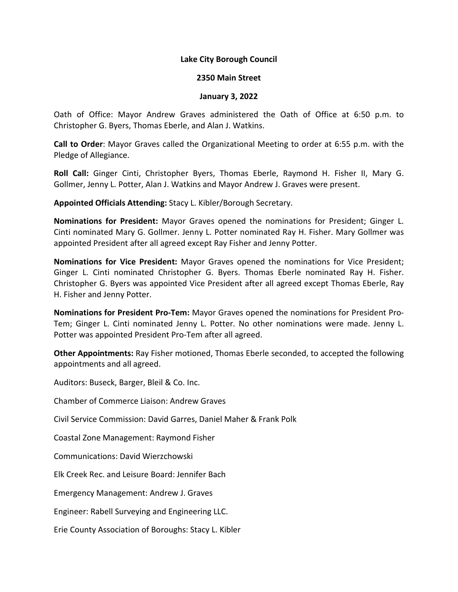### **Lake City Borough Council**

#### **2350 Main Street**

#### **January 3, 2022**

Oath of Office: Mayor Andrew Graves administered the Oath of Office at 6:50 p.m. to Christopher G. Byers, Thomas Eberle, and Alan J. Watkins.

**Call to Order**: Mayor Graves called the Organizational Meeting to order at 6:55 p.m. with the Pledge of Allegiance.

**Roll Call:** Ginger Cinti, Christopher Byers, Thomas Eberle, Raymond H. Fisher II, Mary G. Gollmer, Jenny L. Potter, Alan J. Watkins and Mayor Andrew J. Graves were present.

**Appointed Officials Attending:** Stacy L. Kibler/Borough Secretary.

**Nominations for President:** Mayor Graves opened the nominations for President; Ginger L. Cinti nominated Mary G. Gollmer. Jenny L. Potter nominated Ray H. Fisher. Mary Gollmer was appointed President after all agreed except Ray Fisher and Jenny Potter.

**Nominations for Vice President:** Mayor Graves opened the nominations for Vice President; Ginger L. Cinti nominated Christopher G. Byers. Thomas Eberle nominated Ray H. Fisher. Christopher G. Byers was appointed Vice President after all agreed except Thomas Eberle, Ray H. Fisher and Jenny Potter.

**Nominations for President Pro-Tem:** Mayor Graves opened the nominations for President Pro-Tem; Ginger L. Cinti nominated Jenny L. Potter. No other nominations were made. Jenny L. Potter was appointed President Pro-Tem after all agreed.

**Other Appointments:** Ray Fisher motioned, Thomas Eberle seconded, to accepted the following appointments and all agreed.

Auditors: Buseck, Barger, Bleil & Co. Inc.

Chamber of Commerce Liaison: Andrew Graves

Civil Service Commission: David Garres, Daniel Maher & Frank Polk

Coastal Zone Management: Raymond Fisher

Communications: David Wierzchowski

Elk Creek Rec. and Leisure Board: Jennifer Bach

Emergency Management: Andrew J. Graves

Engineer: Rabell Surveying and Engineering LLC.

Erie County Association of Boroughs: Stacy L. Kibler